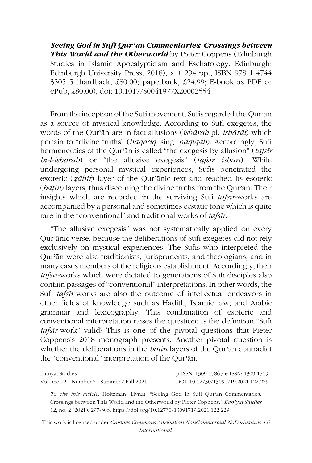*Seeing God in Sufi Qurʾan Commentaries: Crossings between This World and the Otherworld* by Pieter Coppens (Edinburgh Studies in Islamic Apocalypticism and Eschatology, Edinburgh: Edinburgh University Press, 2018),  $x + 294$  pp., ISBN 978 1 4744 3505 5 (hardback, £80.00; paperback, £24.99; E-book as PDF or ePub, £80.00), doi: 10.1017/S0041977X20002554

From the inception of the Sufi movement, Sufis regarded the Qur'ān as a source of mystical knowledge. According to Sufi exegetes, the words of the Qurʾān are in fact allusions (*ishārah* pl. *ishārāt*) which pertain to "divine truths" (*ḥaqāʾiq*, sing. *ḥaqīqah*). Accordingly, Sufi hermeneutics of the Qurʾān is called "the exegesis by allusion" (*tafsīr bi-l-ishārah*) or "the allusive exegesis" (*tafsīr ishārī*). While undergoing personal mystical experiences, Sufis penetrated the exoteric (*ẓāhir*) layer of the Qurʾānic text and reached its esoteric (*bāṭin*) layers, thus discerning the divine truths from the Qurʾān. Their insights which are recorded in the surviving Sufi *tafsīr*-works are accompanied by a personal and sometimes ecstatic tone which is quite rare in the "conventional" and traditional works of *tafsīr*.

"The allusive exegesis" was not systematically applied on every Qurʾānic verse, because the deliberations of Sufi exegetes did not rely exclusively on mystical experiences. The Sufis who interpreted the Qurʾān were also traditionists, jurisprudents, and theologians, and in many cases members of the religious establishment. Accordingly, their *tafsīr*-works which were dictated to generations of Sufi disciples also contain passages of "conventional" interpretations. In other words, the Sufi *tafsīr*-works are also the outcome of intellectual endeavors in other fields of knowledge such as Hadith, Islamic law, and Arabic grammar and lexicography. This combination of esoteric and conventional interpretation raises the question: Is the definition "Sufi *tafsīr*-work" valid? This is one of the pivotal questions that Pieter Coppens's 2018 monograph presents. Another pivotal question is whether the deliberations in the *bāṭin* layers of the Qurʾān contradict the "conventional" interpretation of the Qurʾān.

Volume 12 Number 2 Summer / Fall 2021 DOI: 10.12730/13091719.2021.122.229

Ilahiyat Studies p-ISSN: 1309-1786 / e-ISSN: 1309-1719

*To cite this article*: Holtzman, Livnat. "Seeing God in Sufi Qurʾan Commentaries: Crossings between This World and the Otherworld by Pieter Coppens." *Ilahiyat Studies* 12, no. 2 (2021): 297-306. https://doi.org/10.12730/13091719.2021.122.229

This work is licensed under *Creative Commons Attribution-NonCommercial-NoDerivatives 4.0 International*.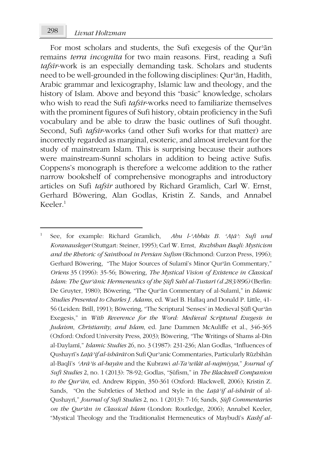For most scholars and students, the Sufi exegesis of the Qur'an remains *terra incognita* for two main reasons. First, reading a Sufi *tafsīr*-work is an especially demanding task. Scholars and students need to be well-grounded in the following disciplines: Qurʾān, Hadith, Arabic grammar and lexicography, Islamic law and theology, and the history of Islam. Above and beyond this "basic" knowledge, scholars who wish to read the Sufi *tafsīr*-works need to familiarize themselves with the prominent figures of Sufi history, obtain proficiency in the Sufi vocabulary and be able to draw the basic outlines of Sufi thought. Second, Sufi *tafsīr*-works (and other Sufi works for that matter) are incorrectly regarded as marginal, esoteric, and almost irrelevant for the study of mainstream Islam. This is surprising because their authors were mainstream-Sunnī scholars in addition to being active Sufis. Coppens's monograph is therefore a welcome addition to the rather narrow bookshelf of comprehensive monographs and introductory articles on Sufi *tafsīr* authored by Richard Gramlich, Carl W. Ernst, Gerhard Böwering, Alan Godlas, Kristin Z. Sands, and Annabel Keeler.<sup>1</sup>

<sup>-</sup><sup>1</sup> See, for example: Richard Gramlich, *Abu l-ʿAbbās B. ʿAṭāʾ: Sufi und Koranausleger* (Stuttgart: Steiner, 1995); Carl W. Ernst, *Ruzbihan Baqli: Mysticism and the Rhetoric of Sainthood in Persian Sufism* (Richmond: Curzon Press, 1996); Gerhard Böwering, "The Major Sources of Sulamī's Minor Qurʾān Commentary," *Oriens* 35 (1996): 35-56; Böwering, *The Mystical Vision of Existence in Classical Islam: The Qurʾānic Hermeneutics of the Ṣūfī Sahl al-Tustarī (d.283/896)* (Berlin: De Gruyter, 1980); Böwering, "The Qurʾān Commentary of al-Sulamī," in *Islamic Studies Presented to Charles J. Adams*, ed. Wael B. Hallaq and Donald P. Little, 41- 56 (Leiden: Brill, 1991); Böwering, "The Scriptural 'Senses' in Medieval Ṣūfī Qurʾān Exegesis," in *With Reverence for the Word: Medieval Scriptural Exegesis in Judaism, Christianity, and Islam*, ed. Jane Dammen McAuliffe et al., 346-365 (Oxford: Oxford University Press, 2003); Böwering, "The Writings of Shams al-Dīn al-Daylamī," *Islamic Studies* 26, no. 3 (1987): 231-236; Alan Godlas, "Influences of Qushayrī's *Laṭāʾif al-ishārāt* on Sufi Qurʾanic Commentaries, Particularly Rūzbihān al-Baqlī's *ʿArāʾis al-bayān* and the Kubrawi *al-Taʾwīlāt al-najmiyya*," *Journal of Sufi Studies* 2, no. 1 (2013): 78-92; Godlas, "Ṣūfism," in *The Blackwell Companion to the Qurʾān*, ed. Andrew Rippin, 350-361 (Oxford: Blackwell, 2006); Kristin Z. Sands, "On the Subtleties of Method and Style in the *Laṭāʾif al-ishārāt* of al-Qushayrī," *Journal of Sufi Studies* 2, no. 1 (2013): 7-16; Sands, *Ṣūfī Commentaries on the Qurʾān in Classical Islam* (London: Routledge, 2006); Annabel Keeler, "Mystical Theology and the Traditionalist Hermeneutics of Maybudī's *Kashf al-*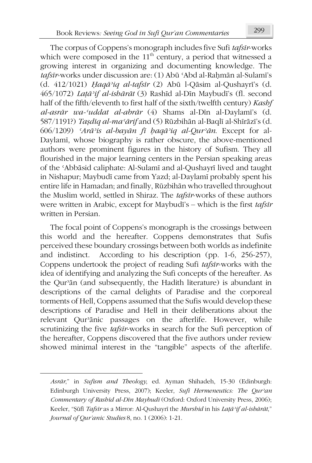The corpus of Coppens's monograph includes five Sufi *tafsīr*-works which were composed in the  $11<sup>th</sup>$  century, a period that witnessed a growing interest in organizing and documenting knowledge. The *tafsīr*-works under discussion are: (1) Abū ʿAbd al-Raḥmān al-Sulamī's (d. 412/1021) *Ḥaqāʾiq al-tafsīr* (2) Abū l-Qāsim al-Qushayrī's (d. 465/1072) *Laṭāʾif al-ishārāt* (3) Rashīd al-Dīn Maybudī's (fl. second half of the fifth/eleventh to first half of the sixth/twelfth century) *Kashf al-asrār wa-ʿuddat al-abrār* (4) Shams al-Dīn al-Daylamī's (d. 587/1191?) *Taṣdīq al-maʿārif* and (5) Rūzbihān al-Baqlī al-Shīrāzī's (d. 606/1209) *ʿArāʾis al-bayān fī ḥaqāʾiq al-Qurʾān*. Except for al-Daylamī, whose biography is rather obscure, the above-mentioned authors were prominent figures in the history of Sufism. They all flourished in the major learning centers in the Persian speaking areas of the ʿAbbāsid caliphate: Al-Sulamī and al-Qushayrī lived and taught in Nishapur; Maybudī came from Yazd; al-Daylamī probably spent his entire life in Hamadan; and finally, Rūzbihān who travelled throughout the Muslim world, settled in Shiraz. The *tafsīr*-works of these authors were written in Arabic, except for Maybudī's – which is the first *tafsīr* written in Persian.

The focal point of Coppens's monograph is the crossings between this world and the hereafter. Coppens demonstrates that Sufis perceived these boundary crossings between both worlds as indefinite and indistinct. According to his description (pp. 1-6, 256-257), Coppens undertook the project of reading Sufi *tafsīr*-works with the idea of identifying and analyzing the Sufi concepts of the hereafter. As the Qurʾān (and subsequently, the Hadith literature) is abundant in descriptions of the carnal delights of Paradise and the corporeal torments of Hell, Coppens assumed that the Sufis would develop these descriptions of Paradise and Hell in their deliberations about the relevant Qurʾānic passages on the afterlife. However, while scrutinizing the five *tafsīr*-works in search for the Sufi perception of the hereafter, Coppens discovered that the five authors under review showed minimal interest in the "tangible" aspects of the afterlife.

**.** 

*Asrār*," in *Sufism and Theology*, ed. Ayman Shihadeh, 15-30 (Edinburgh: Edinburgh University Press, 2007); Keeler, *Sufi Hermeneutics: The Qurʾan Commentary of Rashīd al-Dīn Maybudī* (Oxford: Oxford University Press, 2006); Keeler, "Ṣūfī *Tafsīr* as a Mirror: Al-Qushayrī the *Murshid* in his *Laṭāʾif al-ishārāt*," *Journal of Qur'anic Studies* 8, no. 1 (2006): 1-21.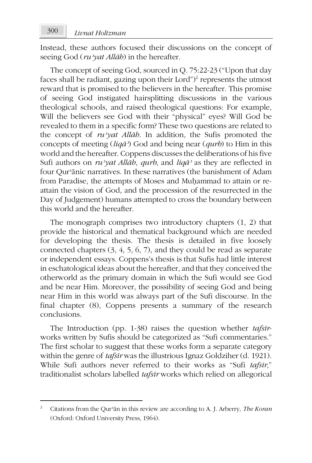Instead, these authors focused their discussions on the concept of seeing God (*ruʾyat Allāh*) in the hereafter.

The concept of seeing God, sourced in Q. 75:22-23 ("Upon that day faces shall be radiant, gazing upon their Lord")<sup>2</sup> represents the utmost reward that is promised to the believers in the hereafter. This promise of seeing God instigated hairsplitting discussions in the various theological schools, and raised theological questions: For example, Will the believers see God with their "physical" eyes? Will God be revealed to them in a specific form? These two questions are related to the concept of *ruʾyat Allāh*. In addition, the Sufis promoted the concepts of meeting (*liqāʾ*) God and being near (*qurb*) to Him in this world and the hereafter. Coppens discusses the deliberations of his five Sufi authors on *ruʾyat Allāh*, *qurb*, and *liqāʾ* as they are reflected in four Qurʾānic narratives. In these narratives (the banishment of Adam from Paradise, the attempts of Moses and Muḥammad to attain or reattain the vision of God, and the procession of the resurrected in the Day of Judgement) humans attempted to cross the boundary between this world and the hereafter.

The monograph comprises two introductory chapters (1, 2) that provide the historical and thematical background which are needed for developing the thesis. The thesis is detailed in five loosely connected chapters (3, 4, 5, 6, 7), and they could be read as separate or independent essays. Coppens's thesis is that Sufis had little interest in eschatological ideas about the hereafter, and that they conceived the otherworld as the primary domain in which the Sufi would see God and be near Him. Moreover, the possibility of seeing God and being near Him in this world was always part of the Sufi discourse. In the final chapter (8), Coppens presents a summary of the research conclusions.

The Introduction (pp. 1-38) raises the question whether *tafsīr*works written by Sufis should be categorized as "Sufi commentaries." The first scholar to suggest that these works form a separate category within the genre of *tafsīr* was the illustrious Ignaz Goldziher (d. 1921). While Sufi authors never referred to their works as "Sufi *tafsīr*," traditionalist scholars labelled *tafsīr* works which relied on allegorical

**.** 

<sup>2</sup> Citations from the Qurʾān in this review are according to A. J. Arberry, *The Koran* (Oxford: Oxford University Press, 1964).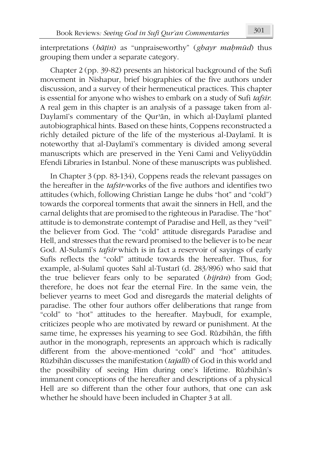interpretations (*bāṭin*) as "unpraiseworthy" (*ghayr maḥmūd*) thus grouping them under a separate category.

Chapter 2 (pp. 39-82) presents an historical background of the Sufi movement in Nishapur, brief biographies of the five authors under discussion, and a survey of their hermeneutical practices. This chapter is essential for anyone who wishes to embark on a study of Sufi *tafsīr*. A real gem in this chapter is an analysis of a passage taken from al-Daylamī's commentary of the Qurʾān, in which al-Daylamī planted autobiographical hints. Based on these hints, Coppens reconstructed a richly detailed picture of the life of the mysterious al-Daylamī. It is noteworthy that al-Daylamī's commentary is divided among several manuscripts which are preserved in the Yeni Cami and Veliyyüddin Efendi Libraries in Istanbul. None of these manuscripts was published.

In Chapter 3 (pp. 83-134), Coppens reads the relevant passages on the hereafter in the *tafsīr*-works of the five authors and identifies two attitudes (which, following Christian Lange he dubs "hot" and "cold") towards the corporeal torments that await the sinners in Hell, and the carnal delights that are promised to the righteous in Paradise. The "hot" attitude is to demonstrate contempt of Paradise and Hell, as they "veil" the believer from God. The "cold" attitude disregards Paradise and Hell, and stresses that the reward promised to the believer is to be near God. Al-Sulamī's *tafsīr* which is in fact a reservoir of sayings of early Sufīs reflects the "cold" attitude towards the hereafter. Thus, for example, al-Sulamī quotes Sahl al-Tustarī (d. 283/896) who said that the true believer fears only to be separated (*hijrān*) from God; therefore, he does not fear the eternal Fire. In the same vein, the believer yearns to meet God and disregards the material delights of paradise. The other four authors offer deliberations that range from "cold" to "hot" attitudes to the hereafter. Maybudī, for example, criticizes people who are motivated by reward or punishment. At the same time, he expresses his yearning to see God. Rūzbihān, the fifth author in the monograph, represents an approach which is radically different from the above-mentioned "cold" and "hot" attitudes. Rūzbihān discusses the manifestation (*tajallī*) of God in this world and the possibility of seeing Him during one's lifetime. Rūzbihān's immanent conceptions of the hereafter and descriptions of a physical Hell are so different than the other four authors, that one can ask whether he should have been included in Chapter 3 at all.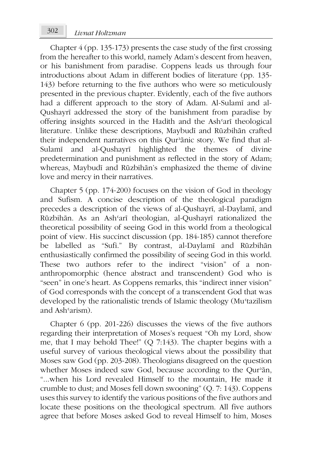Chapter 4 (pp. 135-173) presents the case study of the first crossing from the hereafter to this world, namely Adam's descent from heaven, or his banishment from paradise. Coppens leads us through four introductions about Adam in different bodies of literature (pp. 135- 143) before returning to the five authors who were so meticulously presented in the previous chapter. Evidently, each of the five authors had a different approach to the story of Adam. Al-Sulamī and al-Qushayrī addressed the story of the banishment from paradise by offering insights sourced in the Hadith and the Ashʿarī theological literature. Unlike these descriptions, Maybudī and Rūzbihān crafted their independent narratives on this Qur'ānic story. We find that al-Sulamī and al-Qushayrī highlighted the themes of divine predetermination and punishment as reflected in the story of Adam; whereas, Maybudī and Rūzbihān's emphasized the theme of divine love and mercy in their narratives.

Chapter 5 (pp. 174-200) focuses on the vision of God in theology and Sufism. A concise description of the theological paradigm precedes a description of the views of al-Qushayrī, al-Daylamī, and Rūzbihān. As an Ashʿarī theologian, al-Qushayrī rationalized the theoretical possibility of seeing God in this world from a theological point of view. His succinct discussion (pp. 184-185) cannot therefore be labelled as "Sufi." By contrast, al-Daylamī and Rūzbihān enthusiastically confirmed the possibility of seeing God in this world. These two authors refer to the indirect "vision" of a nonanthropomorphic (hence abstract and transcendent) God who is "seen" in one's heart. As Coppens remarks, this "indirect inner vision" of God corresponds with the concept of a transcendent God that was developed by the rationalistic trends of Islamic theology (Muʿtazilism and Ashʿarism).

Chapter 6 (pp. 201-226) discusses the views of the five authors regarding their interpretation of Moses's request "Oh my Lord, show me, that I may behold Thee!" (Q 7:143). The chapter begins with a useful survey of various theological views about the possibility that Moses saw God (pp. 203-208). Theologians disagreed on the question whether Moses indeed saw God, because according to the Qur'an, "...when his Lord revealed Himself to the mountain, He made it crumble to dust; and Moses fell down swooning" (Q. 7: 143). Coppens uses this survey to identify the various positions of the five authors and locate these positions on the theological spectrum. All five authors agree that before Moses asked God to reveal Himself to him, Moses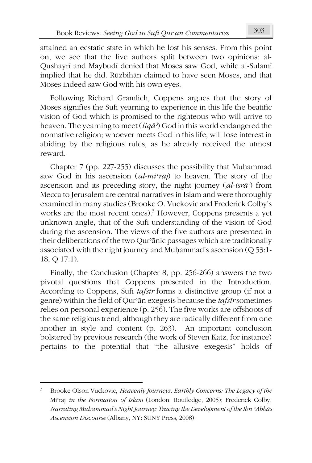attained an ecstatic state in which he lost his senses. From this point on, we see that the five authors split between two opinions: al-Qushayrī and Maybudī denied that Moses saw God, while al-Sulamī implied that he did. Rūzbihān claimed to have seen Moses, and that Moses indeed saw God with his own eyes.

Following Richard Gramlich, Coppens argues that the story of Moses signifies the Sufi yearning to experience in this life the beatific vision of God which is promised to the righteous who will arrive to heaven. The yearning to meet (*liqāʾ*) God in this world endangered the normative religion; whoever meets God in this life, will lose interest in abiding by the religious rules, as he already received the utmost reward.

Chapter 7 (pp. 227-255) discusses the possibility that Muḥammad saw God in his ascension (*al-miʿrāj*) to heaven. The story of the ascension and its preceding story, the night journey (*al-isrāʾ*) from Mecca to Jerusalem are central narratives in Islam and were thoroughly examined in many studies (Brooke O. Vuckovic and Frederick Colby's works are the most recent ones).<sup>3</sup> However, Coppens presents a yet unknown angle, that of the Sufi understanding of the vision of God during the ascension. The views of the five authors are presented in their deliberations of the two Qurʾānic passages which are traditionally associated with the night journey and Muḥammad's ascension (Q 53:1- 18, Q 17:1).

Finally, the Conclusion (Chapter 8, pp. 256-266) answers the two pivotal questions that Coppens presented in the Introduction. According to Coppens, Sufi *tafsīr* forms a distinctive group (if not a genre) within the field of Qurʾān exegesis because the *tafsīr* sometimes relies on personal experience (p. 256). The five works are offshoots of the same religious trend, although they are radically different from one another in style and content (p. 263). An important conclusion bolstered by previous research (the work of Steven Katz, for instance) pertains to the potential that "the allusive exegesis" holds of

 $\overline{\phantom{a}}$ 

<sup>3</sup> Brooke Olson Vuckovic, *Heavenly Journeys, Earthly Concerns: The Legacy of the*  Miʿraj *in the Formation of Islam* (London: Routledge, 2005); Frederick Colby, *Narrating Muhammad's Night Journey: Tracing the Development of the Ibn ʿAbbās Ascension Discourse* (Albany, NY: SUNY Press, 2008).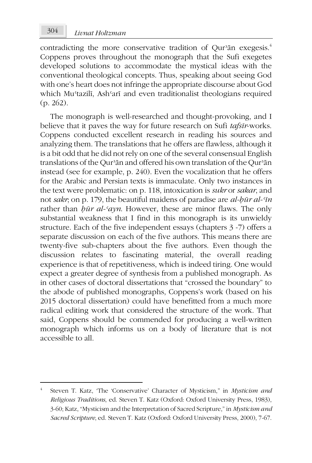contradicting the more conservative tradition of Qur'an exegesis.<sup>4</sup> Coppens proves throughout the monograph that the Sufi exegetes developed solutions to accommodate the mystical ideas with the conventional theological concepts. Thus, speaking about seeing God with one's heart does not infringe the appropriate discourse about God which Muʿtazilī, Ashʿarī and even traditionalist theologians required (p. 262).

The monograph is well-researched and thought-provoking, and I believe that it paves the way for future research on Sufi *tafsīr*-works. Coppens conducted excellent research in reading his sources and analyzing them. The translations that he offers are flawless, although it is a bit odd that he did not rely on one of the several consensual English translations of the Qurʾān and offered his own translation of the Qurʾān instead (see for example, p. 240). Even the vocalization that he offers for the Arabic and Persian texts is immaculate. Only two instances in the text were problematic: on p. 118, intoxication is *sukr* or *sakar*, and not *sakr*; on p. 179, the beautiful maidens of paradise are *al-ḥūr al-ʿīn* rather than *ḥūr al-ʿayn*. However, these are minor flaws. The only substantial weakness that I find in this monograph is its unwieldy structure. Each of the five independent essays (chapters 3 -7) offers a separate discussion on each of the five authors. This means there are twenty-five sub-chapters about the five authors. Even though the discussion relates to fascinating material, the overall reading experience is that of repetitiveness, which is indeed tiring. One would expect a greater degree of synthesis from a published monograph. As in other cases of doctoral dissertations that "crossed the boundary" to the abode of published monographs, Coppens's work (based on his 2015 doctoral dissertation) could have benefitted from a much more radical editing work that considered the structure of the work. That said, Coppens should be commended for producing a well-written monograph which informs us on a body of literature that is not accessible to all.

 $\overline{\phantom{a}}$ 

<sup>4</sup> Steven T. Katz, 'The 'Conservative' Character of Mysticism," in *Mysticism and Religious Traditions*, ed. Steven T. Katz (Oxford: Oxford University Press, 1983), 3-60; Katz, "Mysticism and the Interpretation of Sacred Scripture," in *Mysticism and Sacred Scripture*, ed. Steven T. Katz (Oxford: Oxford University Press, 2000), 7-67.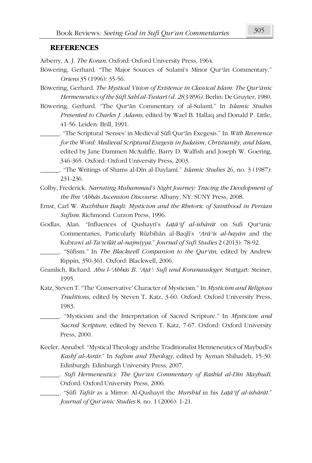## **REFERENCES**

Arberry, A. J. *The Koran*. Oxford: Oxford University Press, 1964.

- Böwering, Gerhard. "The Major Sources of Sulamī's Minor Qurʾān Commentary." *Oriens* 35 (1996): 35-56.
- Böwering, Gerhard. *The Mystical Vision of Existence in Classical Islam: The Qurʾānic Hermeneutics of the Ṣūfī Sahl al-Tustarī (d. 283/896)*. Berlin: De Gruyter, 1980.
- Böwering, Gerhard. "The Qurʾān Commentary of al-Sulamī." In *Islamic Studies Presented to Charles J. Adams*, edited by Wael B. Hallaq and Donald P. Little, 41-56. Leiden: Brill, 1991.
	- \_\_\_\_\_\_. "The Scriptural 'Senses' in Medieval Ṣūfī Qurʾān Exegesis." In *With Reverence for the Word: Medieval Scriptural Exegesis in Judaism, Christianity, and Islam*, edited by Jane Dammen McAuliffe, Barry D. Walfish and Joseph W. Goering, 346-365. Oxford: Oxford University Press, 2003.
	- \_\_\_\_\_\_. "The Writings of Shams al-Dīn al-Daylamī." *Islamic Studies* 26, no. 3 (1987): 231-236.
- Colby, Frederick. *Narrating Muhammad's Night Journey: Tracing the Development of the Ibn ʿAbbās Ascension Discourse*. Albany, NY: SUNY Press, 2008.
- Ernst, Carl W. *Ruzbihan Baqli: Mysticism and the Rhetoric of Sainthood in Persian Sufism*. Richmond: Curzon Press, 1996.
- Godlas, Alan. "Influences of Qushayrī's *Laṭāʾif al-ishārāt* on Sufi Qurʾanic Commentaries, Particularly Rūzbihān al-Baqlī's *ʿArāʾis al-bayān* and the Kubrawi *al-Taʾwīlāt al-najmiyya*." *Journal of Sufi Studies* 2 (2013): 78-92.
- \_\_\_\_\_\_. "Ṣūfism." In *The Blackwell Companion to the Qurʾān*, edited by Andrew Rippin, 350-361. Oxford: Blackwell, 2006.
- Gramlich, Richard. *Abu l-ʿAbbās B. ʿAṭāʾ: Sufi und Koranausleger*. Stuttgart: Steiner, 1995.
- Katz, Steven T. "The 'Conservative' Character of Mysticism." In *Mysticism and Religious Traditions*, edited by Steven T. Katz, 3-60. Oxford: Oxford University Press, 1983.
	- \_\_\_\_\_\_. "Mysticism and the Interpretation of Sacred Scripture." In *Mysticism and Sacred Scripture*, edited by Steven T. Katz, 7-67. Oxford: Oxford University Press, 2000.
- Keeler, Annabel. "Mystical Theology and the Traditionalist Hermeneutics of Maybudī's *Kashf al-Asrār*." In *Sufism and Theology*, edited by Ayman Shihadeh, 15-30. Edinburgh: Edinburgh University Press, 2007.
	- \_\_\_\_\_\_. *Sufi Hermeneutics: The Qurʾan Commentary of Rashīd al-Dīn Maybudī*. Oxford: Oxford University Press, 2006.
		- \_\_\_\_\_\_. "Ṣūfī *Tafsīr* as a Mirror: Al-Qushayrī the *Murshid* in his *Laṭāʾif al-ishārāt.*" *Journal of Qur'anic Studies* 8, no. 1 (2006): 1-21.